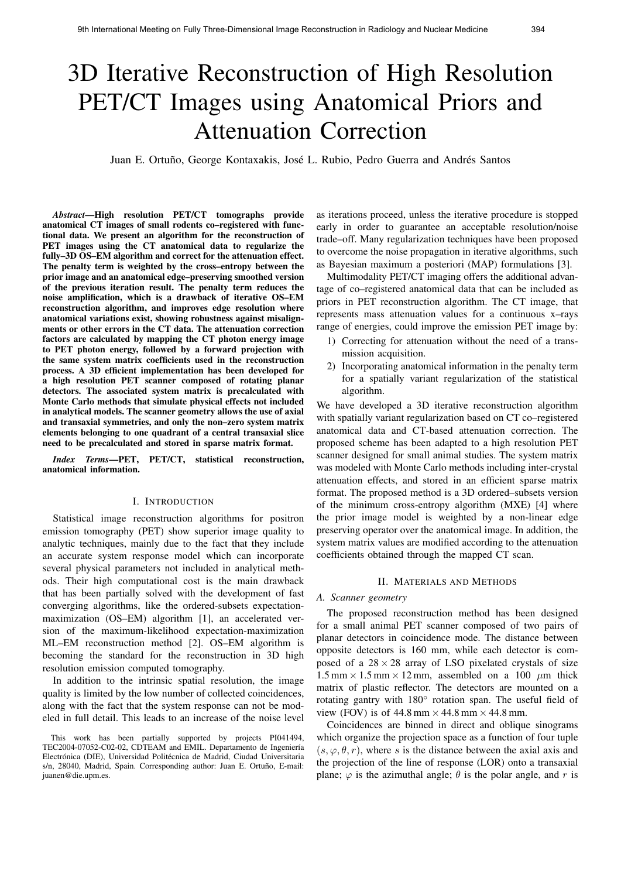# 3D Iterative Reconstruction of High Resolution PET/CT Images using Anatomical Priors and Attenuation Correction

Juan E. Ortuño, George Kontaxakis, José L. Rubio, Pedro Guerra and Andrés Santos

*Abstract*—High resolution PET/CT tomographs provide anatomical CT images of small rodents co–registered with functional data. We present an algorithm for the reconstruction of PET images using the CT anatomical data to regularize the fully–3D OS–EM algorithm and correct for the attenuation effect. The penalty term is weighted by the cross–entropy between the prior image and an anatomical edge–preserving smoothed version of the previous iteration result. The penalty term reduces the noise amplification, which is a drawback of iterative OS–EM reconstruction algorithm, and improves edge resolution where anatomical variations exist, showing robustness against misalignments or other errors in the CT data. The attenuation correction factors are calculated by mapping the CT photon energy image to PET photon energy, followed by a forward projection with the same system matrix coefficients used in the reconstruction process. A 3D efficient implementation has been developed for a high resolution PET scanner composed of rotating planar detectors. The associated system matrix is precalculated with Monte Carlo methods that simulate physical effects not included in analytical models. The scanner geometry allows the use of axial and transaxial symmetries, and only the non–zero system matrix elements belonging to one quadrant of a central transaxial slice need to be precalculated and stored in sparse matrix format.

*Index Terms*—PET, PET/CT, statistical reconstruction, anatomical information.

#### I. INTRODUCTION

Statistical image reconstruction algorithms for positron emission tomography (PET) show superior image quality to analytic techniques, mainly due to the fact that they include an accurate system response model which can incorporate several physical parameters not included in analytical methods. Their high computational cost is the main drawback that has been partially solved with the development of fast converging algorithms, like the ordered-subsets expectationmaximization (OS–EM) algorithm [1], an accelerated version of the maximum-likelihood expectation-maximization ML–EM reconstruction method [2]. OS–EM algorithm is becoming the standard for the reconstruction in 3D high resolution emission computed tomography.

In addition to the intrinsic spatial resolution, the image quality is limited by the low number of collected coincidences, along with the fact that the system response can not be modeled in full detail. This leads to an increase of the noise level

as iterations proceed, unless the iterative procedure is stopped early in order to guarantee an acceptable resolution/noise trade–off. Many regularization techniques have been proposed to overcome the noise propagation in iterative algorithms, such as Bayesian maximum a posteriori (MAP) formulations [3].

Multimodality PET/CT imaging offers the additional advantage of co–registered anatomical data that can be included as priors in PET reconstruction algorithm. The CT image, that represents mass attenuation values for a continuous x–rays range of energies, could improve the emission PET image by:

- 1) Correcting for attenuation without the need of a transmission acquisition.
- 2) Incorporating anatomical information in the penalty term for a spatially variant regularization of the statistical algorithm.

We have developed a 3D iterative reconstruction algorithm with spatially variant regularization based on CT co–registered anatomical data and CT-based attenuation correction. The proposed scheme has been adapted to a high resolution PET scanner designed for small animal studies. The system matrix was modeled with Monte Carlo methods including inter-crystal attenuation effects, and stored in an efficient sparse matrix format. The proposed method is a 3D ordered–subsets version of the minimum cross-entropy algorithm (MXE) [4] where the prior image model is weighted by a non-linear edge preserving operator over the anatomical image. In addition, the system matrix values are modified according to the attenuation coefficients obtained through the mapped CT scan.

#### II. MATERIALS AND METHODS

### *A. Scanner geometry*

The proposed reconstruction method has been designed for a small animal PET scanner composed of two pairs of planar detectors in coincidence mode. The distance between opposite detectors is 160 mm, while each detector is composed of a  $28 \times 28$  array of LSO pixelated crystals of size  $1.5$  mm  $\times$  1.5 mm  $\times$  12 mm, assembled on a 100  $\mu$ m thick matrix of plastic reflector. The detectors are mounted on a rotating gantry with 180◦ rotation span. The useful field of view (FOV) is of 44.8 mm  $\times$  44.8 mm  $\times$  44.8 mm.

Coincidences are binned in direct and oblique sinograms which organize the projection space as a function of four tuple  $(s, \varphi, \theta, r)$ , where s is the distance between the axial axis and the projection of the line of response (LOR) onto a transaxial plane;  $\varphi$  is the azimuthal angle;  $\theta$  is the polar angle, and r is

This work has been partially supported by projects PI041494, TEC2004-07052-C02-02, CDTEAM and EMIL. Departamento de Ingeniería Electrónica (DIE), Universidad Politécnica de Madrid, Ciudad Universitaria s/n, 28040, Madrid, Spain. Corresponding author: Juan E. Ortuño, E-mail: juanen@die.upm.es.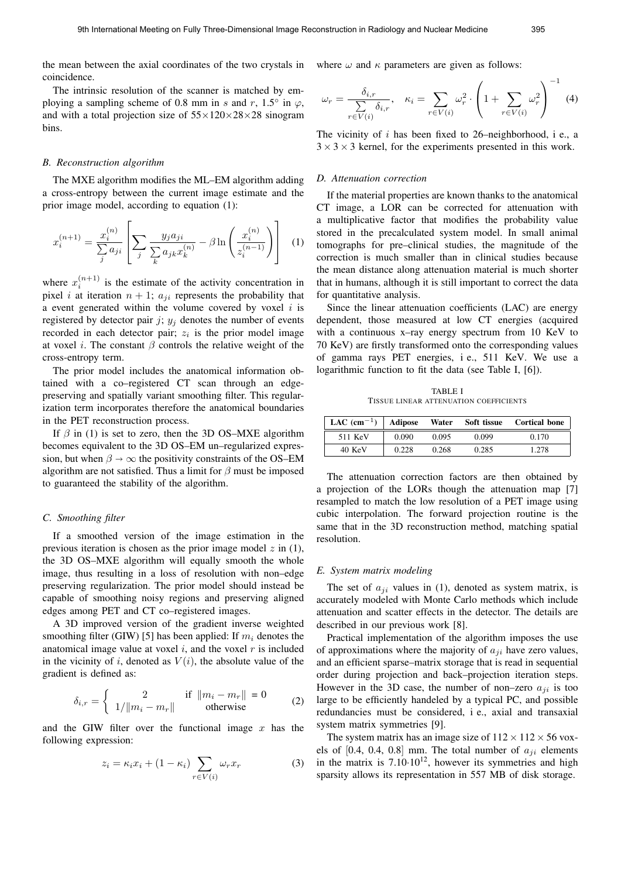the mean between the axial coordinates of the two crystals in coincidence.

The intrinsic resolution of the scanner is matched by employing a sampling scheme of 0.8 mm in s and r, 1.5 $\degree$  in  $\varphi$ , and with a total projection size of  $55 \times 120 \times 28 \times 28$  sinogram bins.

#### *B. Reconstruction algorithm*

The MXE algorithm modifies the ML–EM algorithm adding a cross-entropy between the current image estimate and the prior image model, according to equation (1):

$$
x_i^{(n+1)} = \frac{x_i^{(n)}}{\sum_j a_{ji}} \left[ \sum_j \frac{y_j a_{ji}}{\sum_k a_{jk} x_k^{(n)}} - \beta \ln \left( \frac{x_i^{(n)}}{z_i^{(n-1)}} \right) \right]
$$
 (1)

where  $x_i^{(n+1)}$  is the estimate of the activity concentration in pixel i at iteration  $n + 1$ ;  $a_{ji}$  represents the probability that a event generated within the volume covered by voxel  $i$  is registered by detector pair j;  $y_j$  denotes the number of events recorded in each detector pair;  $z_i$  is the prior model image at voxel *i*. The constant  $\beta$  controls the relative weight of the cross-entropy term.

The prior model includes the anatomical information obtained with a co–registered CT scan through an edgepreserving and spatially variant smoothing filter. This regularization term incorporates therefore the anatomical boundaries in the PET reconstruction process.

If  $\beta$  in (1) is set to zero, then the 3D OS–MXE algorithm becomes equivalent to the 3D OS–EM un–regularized expression, but when  $\beta \rightarrow \infty$  the positivity constraints of the OS–EM algorithm are not satisfied. Thus a limit for  $\beta$  must be imposed to guaranteed the stability of the algorithm.

# *C. Smoothing filter*

If a smoothed version of the image estimation in the previous iteration is chosen as the prior image model  $z$  in (1), the 3D OS–MXE algorithm will equally smooth the whole image, thus resulting in a loss of resolution with non–edge preserving regularization. The prior model should instead be capable of smoothing noisy regions and preserving aligned edges among PET and CT co–registered images.

A 3D improved version of the gradient inverse weighted smoothing filter (GIW) [5] has been applied: If  $m_i$  denotes the anatomical image value at voxel  $i$ , and the voxel  $r$  is included in the vicinity of i, denoted as  $V(i)$ , the absolute value of the gradient is defined as:

$$
\delta_{i,r} = \begin{cases}\n2 & \text{if } ||m_i - m_r|| = 0 \\
1/||m_i - m_r|| & \text{otherwise}\n\end{cases}
$$
\n(2)

and the GIW filter over the functional image  $x$  has the following expression:

$$
z_i = \kappa_i x_i + (1 - \kappa_i) \sum_{r \in V(i)} \omega_r x_r \tag{3}
$$

where  $\omega$  and  $\kappa$  parameters are given as follows:

$$
\omega_r = \frac{\delta_{i,r}}{\sum\limits_{r \in V(i)} \delta_{i,r}}, \quad \kappa_i = \sum\limits_{r \in V(i)} \omega_r^2 \cdot \left(1 + \sum\limits_{r \in V(i)} \omega_r^2\right)^{-1} \tag{4}
$$

The vicinity of  $i$  has been fixed to 26–neighborhood, i e., a  $3 \times 3 \times 3$  kernel, for the experiments presented in this work.

#### *D. Attenuation correction*

If the material properties are known thanks to the anatomical CT image, a LOR can be corrected for attenuation with a multiplicative factor that modifies the probability value stored in the precalculated system model. In small animal tomographs for pre–clinical studies, the magnitude of the correction is much smaller than in clinical studies because the mean distance along attenuation material is much shorter that in humans, although it is still important to correct the data for quantitative analysis.

Since the linear attenuation coefficients (LAC) are energy dependent, those measured at low CT energies (acquired with a continuous x-ray energy spectrum from 10 KeV to 70 KeV) are firstly transformed onto the corresponding values of gamma rays PET energies, i e., 511 KeV. We use a logarithmic function to fit the data (see Table I, [6]).

TABLE I TISSUE LINEAR ATTENUATION COEFFICIENTS

| LAC $(\text{cm}^{-1})$   Adipose |       | Water | Soft tissue | <b>Cortical bone</b> |
|----------------------------------|-------|-------|-------------|----------------------|
| 511 KeV                          | 0.090 | 0.095 | 0.099       | 0.170                |
| 40 KeV                           | 0.228 | 0.268 | 0.285       | 1.278                |

The attenuation correction factors are then obtained by a projection of the LORs though the attenuation map [7] resampled to match the low resolution of a PET image using cubic interpolation. The forward projection routine is the same that in the 3D reconstruction method, matching spatial resolution.

#### *E. System matrix modeling*

The set of  $a_{ji}$  values in (1), denoted as system matrix, is accurately modeled with Monte Carlo methods which include attenuation and scatter effects in the detector. The details are described in our previous work [8].

Practical implementation of the algorithm imposes the use of approximations where the majority of  $a_{ji}$  have zero values, and an efficient sparse–matrix storage that is read in sequential order during projection and back–projection iteration steps. However in the 3D case, the number of non–zero  $a_{ii}$  is too large to be efficiently handeled by a typical PC, and possible redundancies must be considered, i e., axial and transaxial system matrix symmetries [9].

The system matrix has an image size of  $112 \times 112 \times 56$  voxels of  $[0.4, 0.4, 0.8]$  mm. The total number of  $a_{ii}$  elements in the matrix is  $7.10 \cdot 10^{12}$ , however its symmetries and high sparsity allows its representation in 557 MB of disk storage.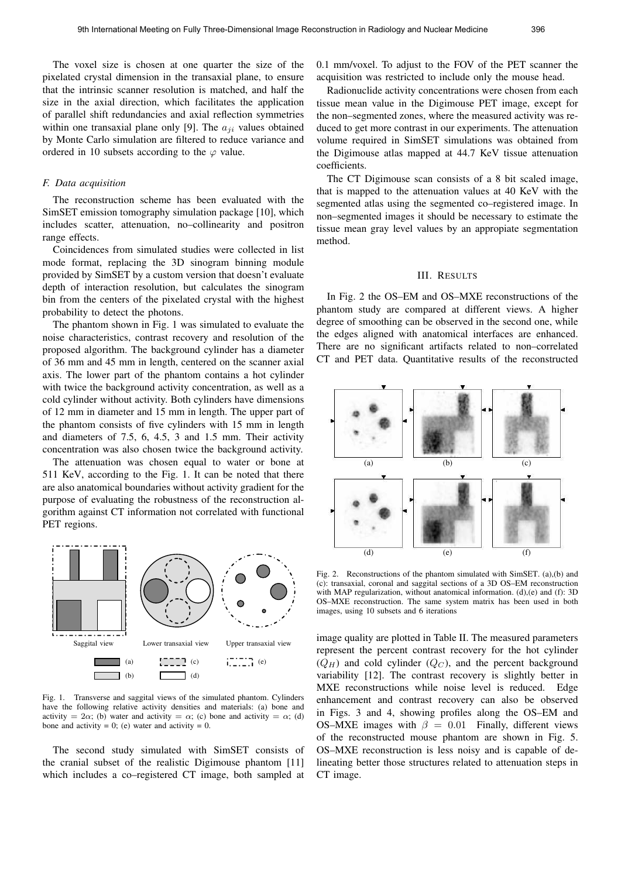The voxel size is chosen at one quarter the size of the pixelated crystal dimension in the transaxial plane, to ensure that the intrinsic scanner resolution is matched, and half the size in the axial direction, which facilitates the application of parallel shift redundancies and axial reflection symmetries within one transaxial plane only [9]. The  $a_{ii}$  values obtained by Monte Carlo simulation are filtered to reduce variance and ordered in 10 subsets according to the  $\varphi$  value.

#### *F. Data acquisition*

The reconstruction scheme has been evaluated with the SimSET emission tomography simulation package [10], which includes scatter, attenuation, no–collinearity and positron range effects.

Coincidences from simulated studies were collected in list mode format, replacing the 3D sinogram binning module provided by SimSET by a custom version that doesn't evaluate depth of interaction resolution, but calculates the sinogram bin from the centers of the pixelated crystal with the highest probability to detect the photons.

The phantom shown in Fig. 1 was simulated to evaluate the noise characteristics, contrast recovery and resolution of the proposed algorithm. The background cylinder has a diameter of 36 mm and 45 mm in length, centered on the scanner axial axis. The lower part of the phantom contains a hot cylinder with twice the background activity concentration, as well as a cold cylinder without activity. Both cylinders have dimensions of 12 mm in diameter and 15 mm in length. The upper part of the phantom consists of five cylinders with 15 mm in length and diameters of 7.5, 6, 4.5, 3 and 1.5 mm. Their activity concentration was also chosen twice the background activity.

The attenuation was chosen equal to water or bone at 511 KeV, according to the Fig. 1. It can be noted that there are also anatomical boundaries without activity gradient for the purpose of evaluating the robustness of the reconstruction algorithm against CT information not correlated with functional PET regions.



Fig. 1. Transverse and saggital views of the simulated phantom. Cylinders have the following relative activity densities and materials: (a) bone and activity = 2 $\alpha$ ; (b) water and activity =  $\alpha$ ; (c) bone and activity =  $\alpha$ ; (d) bone and activity = 0; (e) water and activity = 0.

The second study simulated with SimSET consists of the cranial subset of the realistic Digimouse phantom [11] which includes a co–registered CT image, both sampled at 0.1 mm/voxel. To adjust to the FOV of the PET scanner the acquisition was restricted to include only the mouse head.

Radionuclide activity concentrations were chosen from each tissue mean value in the Digimouse PET image, except for the non–segmented zones, where the measured activity was reduced to get more contrast in our experiments. The attenuation volume required in SimSET simulations was obtained from the Digimouse atlas mapped at 44.7 KeV tissue attenuation coefficients.

The CT Digimouse scan consists of a 8 bit scaled image, that is mapped to the attenuation values at 40 KeV with the segmented atlas using the segmented co–registered image. In non–segmented images it should be necessary to estimate the tissue mean gray level values by an appropiate segmentation method.

#### III. RESULTS

In Fig. 2 the OS–EM and OS–MXE reconstructions of the phantom study are compared at different views. A higher degree of smoothing can be observed in the second one, while the edges aligned with anatomical interfaces are enhanced. There are no significant artifacts related to non–correlated CT and PET data. Quantitative results of the reconstructed



Fig. 2. Reconstructions of the phantom simulated with SimSET. (a),(b) and (c): transaxial, coronal and saggital sections of a 3D OS–EM reconstruction with MAP regularization, without anatomical information. (d),(e) and (f): 3D OS–MXE reconstruction. The same system matrix has been used in both images, using 10 subsets and 6 iterations

image quality are plotted in Table II. The measured parameters represent the percent contrast recovery for the hot cylinder  $(Q_H)$  and cold cylinder  $(Q_C)$ , and the percent background variability [12]. The contrast recovery is slightly better in MXE reconstructions while noise level is reduced. Edge enhancement and contrast recovery can also be observed in Figs. 3 and 4, showing profiles along the OS–EM and OS–MXE images with  $\beta = 0.01$  Finally, different views of the reconstructed mouse phantom are shown in Fig. 5. OS–MXE reconstruction is less noisy and is capable of delineating better those structures related to attenuation steps in CT image.